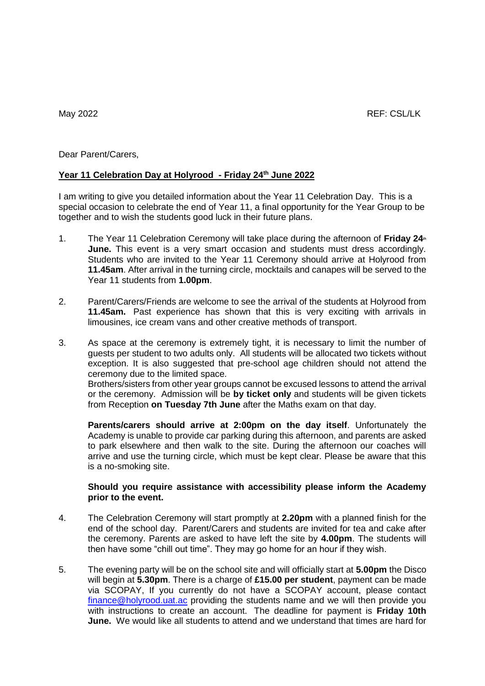Dear Parent/Carers,

## **Year 11 Celebration Day at Holyrood - Friday 24th June 2022**

I am writing to give you detailed information about the Year 11 Celebration Day. This is a special occasion to celebrate the end of Year 11, a final opportunity for the Year Group to be together and to wish the students good luck in their future plans.

- 1. The Year 11 Celebration Ceremony will take place during the afternoon of **Friday 24th June.** This event is a very smart occasion and students must dress accordingly. Students who are invited to the Year 11 Ceremony should arrive at Holyrood from **11.45am**. After arrival in the turning circle, mocktails and canapes will be served to the Year 11 students from **1.00pm**.
- 2. Parent/Carers/Friends are welcome to see the arrival of the students at Holyrood from **11.45am.** Past experience has shown that this is very exciting with arrivals in limousines, ice cream vans and other creative methods of transport.
- 3. As space at the ceremony is extremely tight, it is necessary to limit the number of guests per student to two adults only. All students will be allocated two tickets without exception. It is also suggested that pre-school age children should not attend the ceremony due to the limited space.

Brothers/sisters from other year groups cannot be excused lessons to attend the arrival or the ceremony. Admission will be **by ticket only** and students will be given tickets from Reception **on Tuesday 7th June** after the Maths exam on that day.

**Parents/carers should arrive at 2:00pm on the day itself**. Unfortunately the Academy is unable to provide car parking during this afternoon, and parents are asked to park elsewhere and then walk to the site. During the afternoon our coaches will arrive and use the turning circle, which must be kept clear. Please be aware that this is a no-smoking site.

## **Should you require assistance with accessibility please inform the Academy prior to the event.**

- 4. The Celebration Ceremony will start promptly at **2.20pm** with a planned finish for the end of the school day. Parent/Carers and students are invited for tea and cake after the ceremony. Parents are asked to have left the site by **4.00pm**. The students will then have some "chill out time". They may go home for an hour if they wish.
- 5. The evening party will be on the school site and will officially start at **5.00pm** the Disco will begin at **5.30pm**. There is a charge of **£15.00 per student**, payment can be made via SCOPAY, If you currently do not have a SCOPAY account, please contact [finance@holyrood.uat.ac](mailto:holyroodfinance@educ.somerset.gov.uk) providing the students name and we will then provide you with instructions to create an account. The deadline for payment is **Friday 10th June.** We would like all students to attend and we understand that times are hard for